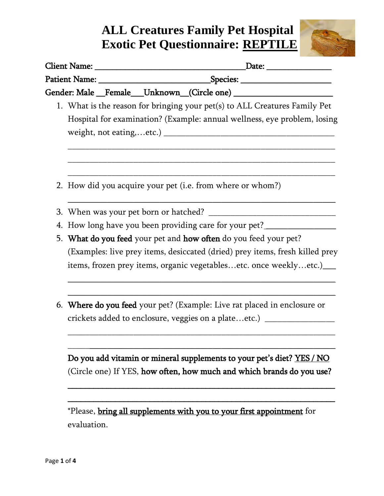## **ALL Creatures Family Pet Hospital Exotic Pet Questionnaire: REPTILE**



|                                          |             | Client Name: 2008 and 2008 and 2008 and 2008 and 2008 and 2008 and 2008 and 2008 and 2008 and 2008 and 2008 and 2008 and 2008 and 2008 and 2008 and 2008 and 2008 and 2008 and 2008 and 2008 and 2008 and 2008 and 2008 and 20<br>Date: ___________________ |
|------------------------------------------|-------------|-------------------------------------------------------------------------------------------------------------------------------------------------------------------------------------------------------------------------------------------------------------|
|                                          |             |                                                                                                                                                                                                                                                             |
| Gender: Male Female Unknown (Circle one) |             |                                                                                                                                                                                                                                                             |
|                                          |             | 1. What is the reason for bringing your pet(s) to ALL Creatures Family Pet<br>Hospital for examination? (Example: annual wellness, eye problem, losing                                                                                                      |
|                                          |             | 2. How did you acquire your pet (i.e. from where or whom?)                                                                                                                                                                                                  |
|                                          |             |                                                                                                                                                                                                                                                             |
|                                          |             | 4. How long have you been providing care for your pet?___                                                                                                                                                                                                   |
|                                          |             | 5. What do you feed your pet and how often do you feed your pet?                                                                                                                                                                                            |
|                                          |             | (Examples: live prey items, desiccated (dried) prey items, fresh killed prey<br>items, frozen prey items, organic vegetablesetc. once weeklyetc.)___                                                                                                        |
|                                          |             | 6. Where do you feed your pet? (Example: Live rat placed in enclosure or<br>crickets added to enclosure, veggies on a plateetc.) ________________________                                                                                                   |
|                                          |             | Do you add vitamin or mineral supplements to your pet's diet? YES / NO<br>(Circle one) If YES, how often, how much and which brands do you use?                                                                                                             |
|                                          | evaluation. | *Please, <b>bring all supplements with you to your first appointment</b> for                                                                                                                                                                                |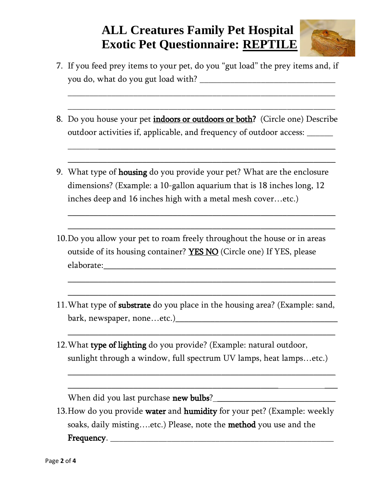## **ALL Creatures Family Pet Hospital Exotic Pet Questionnaire: REPTILE**



7. If you feed prey items to your pet, do you "gut load" the prey items and, if you do, what do you gut load with?

\_\_\_\_\_\_\_\_\_\_\_\_\_\_\_\_\_\_\_\_\_\_\_\_\_\_\_\_\_\_\_\_\_\_\_\_\_\_\_\_\_\_\_\_\_\_\_\_\_\_\_\_\_\_\_\_\_\_\_\_\_

\_\_\_\_\_\_\_\_\_\_\_\_\_\_\_\_\_\_\_\_\_\_\_\_\_\_\_\_\_\_\_\_\_\_\_\_\_\_\_\_\_\_\_\_\_\_\_\_\_\_\_\_\_\_\_\_\_\_\_\_\_

8. Do you house your pet *indoors or outdoors or both*? (Circle one) Describe outdoor activities if, applicable, and frequency of outdoor access: \_\_\_\_\_\_

\_\_\_\_\_\_\_\_\_\_\_\_\_\_\_\_\_\_\_\_\_\_\_\_\_\_\_\_\_\_\_\_\_\_\_\_\_\_\_\_\_\_\_\_\_\_\_\_\_\_\_\_\_\_\_\_\_\_\_\_\_

\_\_\_\_\_\_\_\_\_\_\_\_\_\_\_\_\_\_\_\_\_\_\_\_\_\_\_\_\_\_\_\_\_\_\_\_\_\_\_\_\_\_\_\_\_\_\_\_\_\_\_\_\_\_\_\_\_\_\_\_\_

 $\frac{1}{2}$  ,  $\frac{1}{2}$  ,  $\frac{1}{2}$  ,  $\frac{1}{2}$  ,  $\frac{1}{2}$  ,  $\frac{1}{2}$  ,  $\frac{1}{2}$  ,  $\frac{1}{2}$  ,  $\frac{1}{2}$  ,  $\frac{1}{2}$  ,  $\frac{1}{2}$  ,  $\frac{1}{2}$  ,  $\frac{1}{2}$  ,  $\frac{1}{2}$  ,  $\frac{1}{2}$  ,  $\frac{1}{2}$  ,  $\frac{1}{2}$  ,  $\frac{1}{2}$  ,  $\frac{1$ 

 $\frac{1}{2}$  ,  $\frac{1}{2}$  ,  $\frac{1}{2}$  ,  $\frac{1}{2}$  ,  $\frac{1}{2}$  ,  $\frac{1}{2}$  ,  $\frac{1}{2}$  ,  $\frac{1}{2}$  ,  $\frac{1}{2}$  ,  $\frac{1}{2}$  ,  $\frac{1}{2}$  ,  $\frac{1}{2}$  ,  $\frac{1}{2}$  ,  $\frac{1}{2}$  ,  $\frac{1}{2}$  ,  $\frac{1}{2}$  ,  $\frac{1}{2}$  ,  $\frac{1}{2}$  ,  $\frac{1$ 

 $\frac{1}{2}$  ,  $\frac{1}{2}$  ,  $\frac{1}{2}$  ,  $\frac{1}{2}$  ,  $\frac{1}{2}$  ,  $\frac{1}{2}$  ,  $\frac{1}{2}$  ,  $\frac{1}{2}$  ,  $\frac{1}{2}$  ,  $\frac{1}{2}$  ,  $\frac{1}{2}$  ,  $\frac{1}{2}$  ,  $\frac{1}{2}$  ,  $\frac{1}{2}$  ,  $\frac{1}{2}$  ,  $\frac{1}{2}$  ,  $\frac{1}{2}$  ,  $\frac{1}{2}$  ,  $\frac{1$ 

 $\overline{\phantom{a}}$  , and the contract of the contract of the contract of the contract of the contract of the contract of the contract of the contract of the contract of the contract of the contract of the contract of the contrac

 $\frac{1}{2}$  ,  $\frac{1}{2}$  ,  $\frac{1}{2}$  ,  $\frac{1}{2}$  ,  $\frac{1}{2}$  ,  $\frac{1}{2}$  ,  $\frac{1}{2}$  ,  $\frac{1}{2}$  ,  $\frac{1}{2}$  ,  $\frac{1}{2}$  ,  $\frac{1}{2}$  ,  $\frac{1}{2}$  ,  $\frac{1}{2}$  ,  $\frac{1}{2}$  ,  $\frac{1}{2}$  ,  $\frac{1}{2}$  ,  $\frac{1}{2}$  ,  $\frac{1}{2}$  ,  $\frac{1$ 

 $\frac{1}{2}$  ,  $\frac{1}{2}$  ,  $\frac{1}{2}$  ,  $\frac{1}{2}$  ,  $\frac{1}{2}$  ,  $\frac{1}{2}$  ,  $\frac{1}{2}$  ,  $\frac{1}{2}$  ,  $\frac{1}{2}$  ,  $\frac{1}{2}$  ,  $\frac{1}{2}$  ,  $\frac{1}{2}$  ,  $\frac{1}{2}$  ,  $\frac{1}{2}$  ,  $\frac{1}{2}$  ,  $\frac{1}{2}$  ,  $\frac{1}{2}$  ,  $\frac{1}{2}$  ,  $\frac{1$ 

 $\frac{1}{2}$  ,  $\frac{1}{2}$  ,  $\frac{1}{2}$  ,  $\frac{1}{2}$  ,  $\frac{1}{2}$  ,  $\frac{1}{2}$  ,  $\frac{1}{2}$  ,  $\frac{1}{2}$  ,  $\frac{1}{2}$  ,  $\frac{1}{2}$  ,  $\frac{1}{2}$  ,  $\frac{1}{2}$  ,  $\frac{1}{2}$  ,  $\frac{1}{2}$  ,  $\frac{1}{2}$  ,  $\frac{1}{2}$  ,  $\frac{1}{2}$  ,  $\frac{1}{2}$  ,  $\frac{1$ 

- 9. What type of housing do you provide your pet? What are the enclosure dimensions? (Example: a 10-gallon aquarium that is 18 inches long, 12 inches deep and 16 inches high with a metal mesh cover…etc.)
- 10.Do you allow your pet to roam freely throughout the house or in areas outside of its housing container? **YES NO** (Circle one) If YES, please elaborate:
- 11.What type of substrate do you place in the housing area? (Example: sand, bark, newspaper, none…etc.)\_\_\_\_\_\_\_\_\_\_\_\_\_\_\_\_\_\_\_\_\_\_\_\_\_\_\_\_\_\_\_\_\_\_\_\_\_
- 12.What type of lighting do you provide? (Example: natural outdoor, sunlight through a window, full spectrum UV lamps, heat lamps…etc.)

When did you last purchase new bulbs? \_\_\_\_\_\_\_\_\_\_\_\_\_\_\_\_\_\_\_\_\_\_\_\_\_\_\_

13. How do you provide water and humidity for your pet? (Example: weekly soaks, daily misting....etc.) Please, note the **method** you use and the Frequency. \_\_\_\_\_\_\_\_\_\_\_\_\_\_\_\_\_\_\_\_\_\_\_\_\_\_\_\_\_\_\_\_\_\_\_\_\_\_\_\_\_\_\_\_\_\_\_\_\_\_\_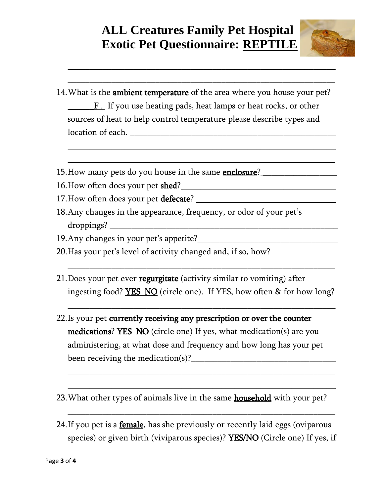## **ALL Creatures Family Pet Hospital Exotic Pet Questionnaire: REPTILE**

 $\overline{\phantom{a}}$  , and the contract of the contract of the contract of the contract of the contract of the contract of the contract of the contract of the contract of the contract of the contract of the contract of the contrac

 $\frac{1}{2}$  ,  $\frac{1}{2}$  ,  $\frac{1}{2}$  ,  $\frac{1}{2}$  ,  $\frac{1}{2}$  ,  $\frac{1}{2}$  ,  $\frac{1}{2}$  ,  $\frac{1}{2}$  ,  $\frac{1}{2}$  ,  $\frac{1}{2}$  ,  $\frac{1}{2}$  ,  $\frac{1}{2}$  ,  $\frac{1}{2}$  ,  $\frac{1}{2}$  ,  $\frac{1}{2}$  ,  $\frac{1}{2}$  ,  $\frac{1}{2}$  ,  $\frac{1}{2}$  ,  $\frac{1$ 

\_\_\_\_\_\_\_\_\_\_\_\_\_\_\_\_\_\_\_\_\_\_\_\_\_\_\_\_\_\_\_\_\_\_\_\_\_\_\_\_\_\_\_\_\_\_\_\_\_\_\_\_\_\_\_\_\_\_\_\_\_

 $\frac{1}{2}$  ,  $\frac{1}{2}$  ,  $\frac{1}{2}$  ,  $\frac{1}{2}$  ,  $\frac{1}{2}$  ,  $\frac{1}{2}$  ,  $\frac{1}{2}$  ,  $\frac{1}{2}$  ,  $\frac{1}{2}$  ,  $\frac{1}{2}$  ,  $\frac{1}{2}$  ,  $\frac{1}{2}$  ,  $\frac{1}{2}$  ,  $\frac{1}{2}$  ,  $\frac{1}{2}$  ,  $\frac{1}{2}$  ,  $\frac{1}{2}$  ,  $\frac{1}{2}$  ,  $\frac{1$ 



- 14. What is the ambient temperature of the area where you house your pet? F. If you use heating pads, heat lamps or heat rocks, or other sources of heat to help control temperature please describe types and location of each. \_\_\_\_\_\_\_\_\_\_\_\_\_\_\_\_\_\_\_\_\_\_\_\_\_\_\_\_\_\_\_\_\_\_\_\_\_\_\_\_\_\_\_\_\_\_\_
- 15. How many pets do you house in the same **enclosure**?
- 16.How often does your pet shed? \_\_\_\_\_\_\_\_\_\_\_\_\_\_\_\_\_\_\_\_\_\_\_\_\_\_\_\_\_\_\_\_\_\_\_
- 17.How often does your pet defecate? \_\_\_\_\_\_\_\_\_\_\_\_\_\_\_\_\_\_\_\_\_\_\_\_\_\_\_\_\_\_\_\_
- 18.Any changes in the appearance, frequency, or odor of your pet's droppings? \_\_\_\_\_\_\_\_\_\_\_\_\_\_\_\_\_\_\_\_\_\_\_\_\_\_\_\_\_\_\_\_\_\_\_\_\_\_\_\_\_\_\_\_\_\_\_\_\_\_\_\_
- 19.Any changes in your pet's appetite?\_\_\_\_\_\_\_\_\_\_\_\_\_\_\_\_\_\_\_\_\_\_\_\_\_\_\_\_\_\_\_\_
- 20.Has your pet's level of activity changed and, if so, how?
- 21. Does your pet ever **regurgitate** (activity similar to vomiting) after ingesting food? **YES NO** (circle one). If YES, how often & for how long?

\_\_\_\_\_\_\_\_\_\_\_\_\_\_\_\_\_\_\_\_\_\_\_\_\_\_\_\_\_\_\_\_\_\_\_\_\_\_\_\_\_\_\_\_\_\_\_\_\_\_\_\_\_\_\_\_\_\_\_\_\_

 $\overline{\phantom{a}}$  , and the contract of the contract of the contract of the contract of the contract of the contract of the contract of the contract of the contract of the contract of the contract of the contract of the contrac

\_\_\_\_\_\_\_\_\_\_\_\_\_\_\_\_\_\_\_\_\_\_\_\_\_\_\_\_\_\_\_\_\_\_\_\_\_\_\_\_\_\_\_\_\_\_\_\_\_\_\_\_\_\_\_\_\_\_\_\_\_

 $\frac{1}{2}$  ,  $\frac{1}{2}$  ,  $\frac{1}{2}$  ,  $\frac{1}{2}$  ,  $\frac{1}{2}$  ,  $\frac{1}{2}$  ,  $\frac{1}{2}$  ,  $\frac{1}{2}$  ,  $\frac{1}{2}$  ,  $\frac{1}{2}$  ,  $\frac{1}{2}$  ,  $\frac{1}{2}$  ,  $\frac{1}{2}$  ,  $\frac{1}{2}$  ,  $\frac{1}{2}$  ,  $\frac{1}{2}$  ,  $\frac{1}{2}$  ,  $\frac{1}{2}$  ,  $\frac{1$ 

 $\frac{1}{2}$  ,  $\frac{1}{2}$  ,  $\frac{1}{2}$  ,  $\frac{1}{2}$  ,  $\frac{1}{2}$  ,  $\frac{1}{2}$  ,  $\frac{1}{2}$  ,  $\frac{1}{2}$  ,  $\frac{1}{2}$  ,  $\frac{1}{2}$  ,  $\frac{1}{2}$  ,  $\frac{1}{2}$  ,  $\frac{1}{2}$  ,  $\frac{1}{2}$  ,  $\frac{1}{2}$  ,  $\frac{1}{2}$  ,  $\frac{1}{2}$  ,  $\frac{1}{2}$  ,  $\frac{1$ 

- 22.Is your pet currently receiving any prescription or over the counter medications? YES NO (circle one) If yes, what medication(s) are you administering, at what dose and frequency and how long has your pet been receiving the medication(s)?
- 23. What other types of animals live in the same **household** with your pet?
- 24. If you pet is a **female**, has she previously or recently laid eggs (oviparous species) or given birth (viviparous species)? YES/NO (Circle one) If yes, if